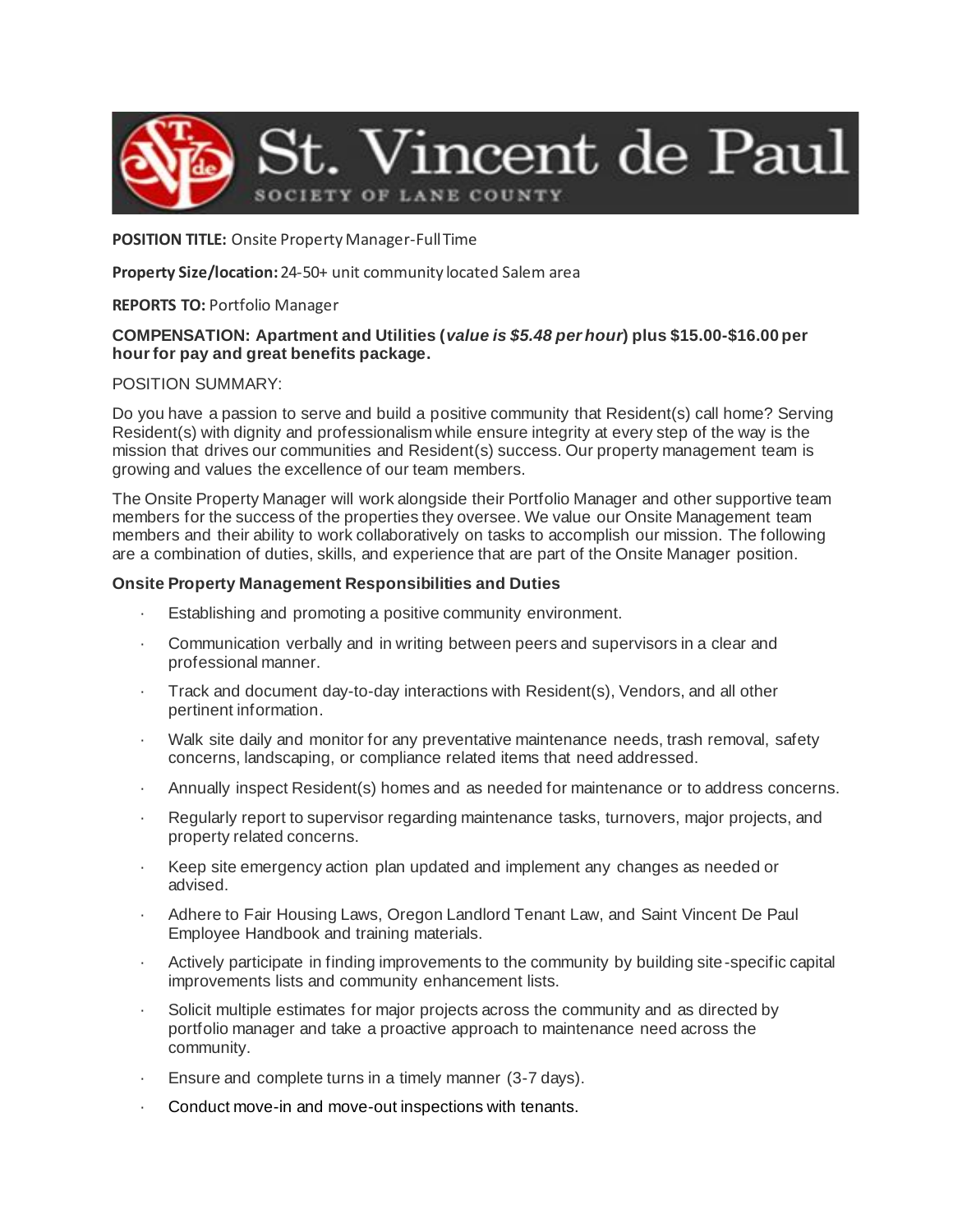

### **POSITION TITLE:** Onsite Property Manager-Full Time

### **Property Size/location:** 24-50+ unit community located Salem area

# **REPORTS TO:** Portfolio Manager

# **COMPENSATION: Apartment and Utilities (***value is \$5.48 per hour***) plus \$15.00-\$16.00 per hour for pay and great benefits package.**

# POSITION SUMMARY:

Do you have a passion to serve and build a positive community that Resident(s) call home? Serving Resident(s) with dignity and professionalism while ensure integrity at every step of the way is the mission that drives our communities and Resident(s) success. Our property management team is growing and values the excellence of our team members.

The Onsite Property Manager will work alongside their Portfolio Manager and other supportive team members for the success of the properties they oversee. We value our Onsite Management team members and their ability to work collaboratively on tasks to accomplish our mission. The following are a combination of duties, skills, and experience that are part of the Onsite Manager position.

# **Onsite Property Management Responsibilities and Duties**

- Establishing and promoting a positive community environment.
- · Communication verbally and in writing between peers and supervisors in a clear and professional manner.
- · Track and document day-to-day interactions with Resident(s), Vendors, and all other pertinent information.
- Walk site daily and monitor for any preventative maintenance needs, trash removal, safety concerns, landscaping, or compliance related items that need addressed.
- · Annually inspect Resident(s) homes and as needed for maintenance or to address concerns.
- Regularly report to supervisor regarding maintenance tasks, turnovers, major projects, and property related concerns.
- Keep site emergency action plan updated and implement any changes as needed or advised.
- Adhere to Fair Housing Laws, Oregon Landlord Tenant Law, and Saint Vincent De Paul Employee Handbook and training materials.
- Actively participate in finding improvements to the community by building site-specific capital improvements lists and community enhancement lists.
- Solicit multiple estimates for major projects across the community and as directed by portfolio manager and take a proactive approach to maintenance need across the community.
- · Ensure and complete turns in a timely manner (3-7 days).
- Conduct move-in and move-out inspections with tenants.